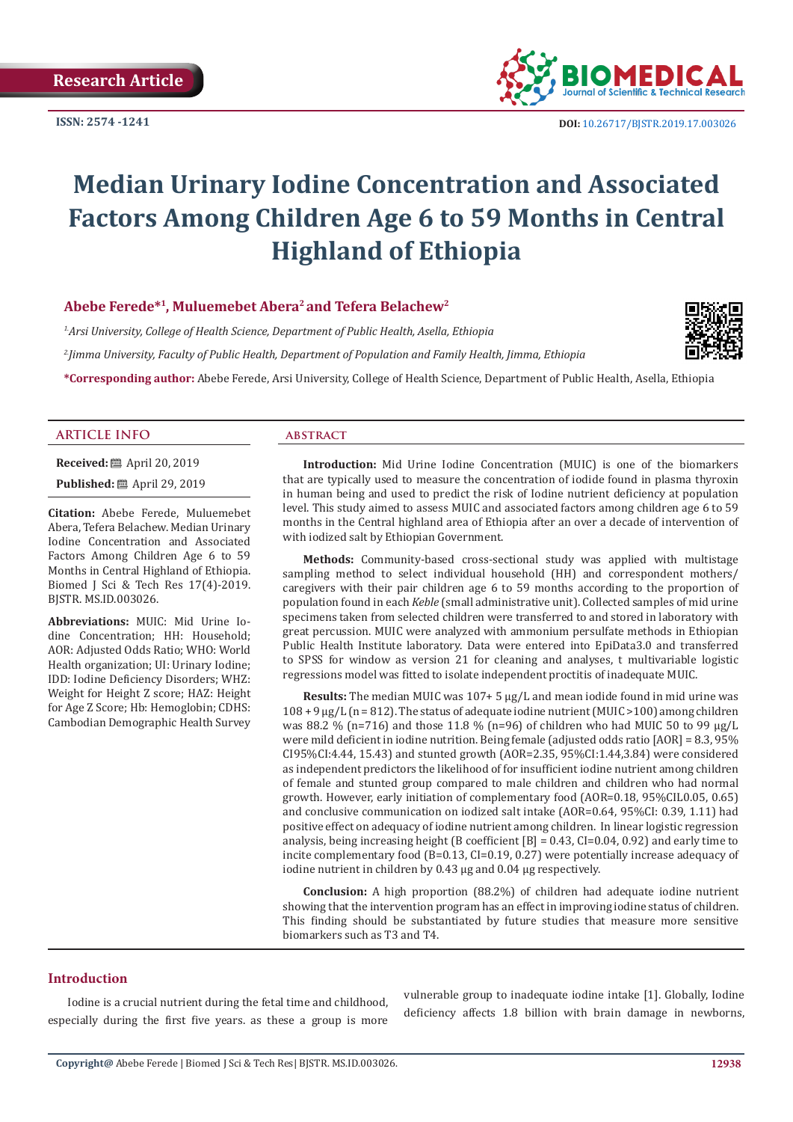**ISSN: 2574 -1241**



 **DOI:** [10.26717/BJSTR.2019.17.0030](http://dx.doi.org/10.26717/BJSTR.2019.17.003026)26

# **Median Urinary Iodine Concentration and Associated Factors Among Children Age 6 to 59 Months in Central Highland of Ethiopia**

# **Abebe Ferede\*1, Muluemebet Abera2 and Tefera Belachew2**

*1.Arsi University, College of Health Science, Department of Public Health, Asella, Ethiopia 2.Jimma University, Faculty of Public Health, Department of Population and Family Health, Jimma, Ethiopia*



**\*Corresponding author:** Abebe Ferede, Arsi University, College of Health Science, Department of Public Health, Asella, Ethiopia

#### **ARTICLE INFO abstract**

**Received:** ■ April 20, 2019

**Published:** ■ April 29, 2019

**Citation:** Abebe Ferede, Muluemebet Abera, Tefera Belachew. Median Urinary Iodine Concentration and Associated Factors Among Children Age 6 to 59 Months in Central Highland of Ethiopia. Biomed J Sci & Tech Res 17(4)-2019. BJSTR. MS.ID.003026.

**Abbreviations:** MUIC: Mid Urine Iodine Concentration; HH: Household; AOR: Adjusted Odds Ratio; WHO: World Health organization; UI: Urinary Iodine; IDD: Iodine Deficiency Disorders; WHZ: Weight for Height Z score; HAZ: Height for Age Z Score; Hb: Hemoglobin; CDHS: Cambodian Demographic Health Survey

**Introduction:** Mid Urine Iodine Concentration (MUIC) is one of the biomarkers that are typically used to measure the concentration of iodide found in plasma thyroxin in human being and used to predict the risk of Iodine nutrient deficiency at population level. This study aimed to assess MUIC and associated factors among children age 6 to 59 months in the Central highland area of Ethiopia after an over a decade of intervention of with iodized salt by Ethiopian Government.

**Methods:** Community-based cross-sectional study was applied with multistage sampling method to select individual household (HH) and correspondent mothers/ caregivers with their pair children age 6 to 59 months according to the proportion of population found in each *Keble* (small administrative unit). Collected samples of mid urine specimens taken from selected children were transferred to and stored in laboratory with great percussion. MUIC were analyzed with ammonium persulfate methods in Ethiopian Public Health Institute laboratory. Data were entered into EpiData3.0 and transferred to SPSS for window as version 21 for cleaning and analyses, t multivariable logistic regressions model was fitted to isolate independent proctitis of inadequate MUIC.

**Results:** The median MUIC was 107+ 5 μg/L and mean iodide found in mid urine was  $108 + 9 \,\mu g/L$  (n = 812). The status of adequate iodine nutrient (MUIC > 100) among children was 88.2 % (n=716) and those 11.8 % (n=96) of children who had MUIC 50 to 99  $\mu$ g/L were mild deficient in iodine nutrition. Being female (adjusted odds ratio [AOR] = 8.3, 95% CI95%CI:4.44, 15.43) and stunted growth (AOR=2.35, 95%CI:1.44,3.84) were considered as independent predictors the likelihood of for insufficient iodine nutrient among children of female and stunted group compared to male children and children who had normal growth. However, early initiation of complementary food (AOR=0.18, 95%CIL0.05, 0.65) and conclusive communication on iodized salt intake (AOR=0.64, 95%CI: 0.39, 1.11) had positive effect on adequacy of iodine nutrient among children. In linear logistic regression analysis, being increasing height (B coefficient  $[B] = 0.43$ , CI=0.04, 0.92) and early time to incite complementary food (B=0.13, CI=0.19, 0.27) were potentially increase adequacy of iodine nutrient in children by 0.43 μg and 0.04 μg respectively.

**Conclusion:** A high proportion (88.2%) of children had adequate iodine nutrient showing that the intervention program has an effect in improving iodine status of children. This finding should be substantiated by future studies that measure more sensitive biomarkers such as T3 and T4.

#### **Introduction**

Iodine is a crucial nutrient during the fetal time and childhood, especially during the first five years. as these a group is more vulnerable group to inadequate iodine intake [1]. Globally, Iodine deficiency affects 1.8 billion with brain damage in newborns,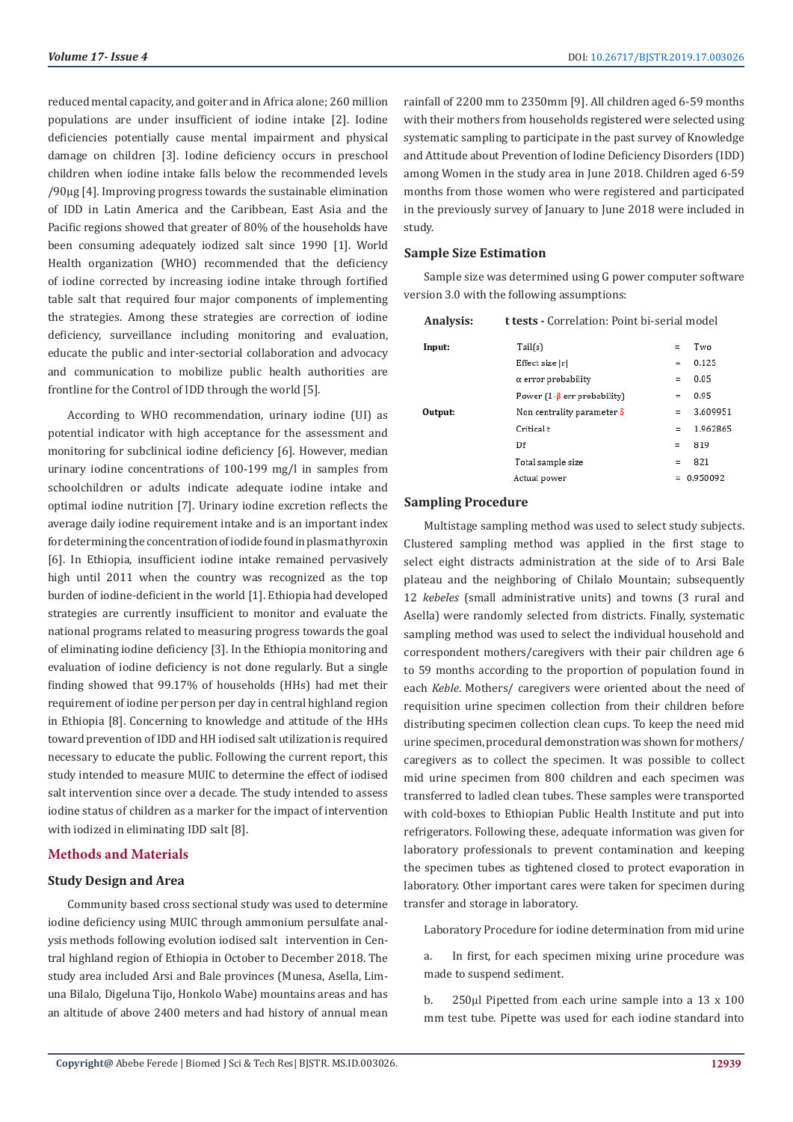reduced mental capacity, and goiter and in Africa alone; 260 million populations are under insufficient of iodine intake [2]. Iodine deficiencies potentially cause mental impairment and physical damage on children [3]. Iodine deficiency occurs in preschool children when iodine intake falls below the recommended levels /90μg [4]. Improving progress towards the sustainable elimination of IDD in Latin America and the Caribbean, East Asia and the Pacific regions showed that greater of 80% of the households have been consuming adequately iodized salt since 1990 [1]. World Health organization (WHO) recommended that the deficiency of iodine corrected by increasing iodine intake through fortified table salt that required four major components of implementing the strategies. Among these strategies are correction of iodine deficiency, surveillance including monitoring and evaluation, educate the public and inter-sectorial collaboration and advocacy and communication to mobilize public health authorities are frontline for the Control of IDD through the world [5].

According to WHO recommendation, urinary iodine (UI) as potential indicator with high acceptance for the assessment and monitoring for subclinical iodine deficiency [6]. However, median urinary iodine concentrations of 100-199 mg/l in samples from schoolchildren or adults indicate adequate iodine intake and optimal iodine nutrition [7]. Urinary iodine excretion reflects the average daily iodine requirement intake and is an important index for determining the concentration of iodide found in plasma thyroxin [6]. In Ethiopia, insufficient iodine intake remained pervasively high until 2011 when the country was recognized as the top burden of iodine-deficient in the world [1]. Ethiopia had developed strategies are currently insufficient to monitor and evaluate the national programs related to measuring progress towards the goal of eliminating iodine deficiency [3]. In the Ethiopia monitoring and evaluation of iodine deficiency is not done regularly. But a single finding showed that 99.17% of households (HHs) had met their requirement of iodine per person per day in central highland region in Ethiopia [8]. Concerning to knowledge and attitude of the HHs toward prevention of IDD and HH iodised salt utilization is required necessary to educate the public. Following the current report, this study intended to measure MUIC to determine the effect of iodised salt intervention since over a decade. The study intended to assess iodine status of children as a marker for the impact of intervention with iodized in eliminating IDD salt [8].

# **Methods and Materials**

# **Study Design and Area**

Community based cross sectional study was used to determine iodine deficiency using MUIC through ammonium persulfate analysis methods following evolution iodised salt intervention in Central highland region of Ethiopia in October to December 2018. The study area included Arsi and Bale provinces (Munesa, Asella, Limuna Bilalo, Digeluna Tijo, Honkolo Wabe) mountains areas and has an altitude of above 2400 meters and had history of annual mean

rainfall of 2200 mm to 2350mm [9]. All children aged 6-59 months with their mothers from households registered were selected using systematic sampling to participate in the past survey of Knowledge and Attitude about Prevention of Iodine Deficiency Disorders (IDD) among Women in the study area in June 2018. Children aged 6-59 months from those women who were registered and participated in the previously survey of January to June 2018 were included in study.

#### **Sample Size Estimation**

Sample size was determined using G power computer software version 3.0 with the following assumptions:

| <b>Analysis:</b> | <b>t tests -</b> Correlation: Point bi-serial model |     |              |
|------------------|-----------------------------------------------------|-----|--------------|
| Input:           | Tail(s)                                             | $=$ | Two          |
|                  | Effect size  r                                      | $=$ | 0.125        |
|                  | $\alpha$ error probability                          | $=$ | 0.05         |
|                  | Power $(1-\beta$ err probability)                   | ÷   | 0.95         |
| Output:          | Non centrality parameter $\delta$                   | $=$ | 3.609951     |
|                  | Critical t                                          | $=$ | 1.962865     |
|                  | Df                                                  | $=$ | 819          |
|                  | Total sample size                                   | Ξ   | 821          |
|                  | Actual power                                        |     | $= 0.950092$ |

#### **Sampling Procedure**

Multistage sampling method was used to select study subjects. Clustered sampling method was applied in the first stage to select eight distracts administration at the side of to Arsi Bale plateau and the neighboring of Chilalo Mountain; subsequently 12 *kebeles* (small administrative units) and towns (3 rural and Asella) were randomly selected from districts. Finally, systematic sampling method was used to select the individual household and correspondent mothers/caregivers with their pair children age 6 to 59 months according to the proportion of population found in each *Keble*. Mothers/ caregivers were oriented about the need of requisition urine specimen collection from their children before distributing specimen collection clean cups. To keep the need mid urine specimen, procedural demonstration was shown for mothers/ caregivers as to collect the specimen. It was possible to collect mid urine specimen from 800 children and each specimen was transferred to ladled clean tubes. These samples were transported with cold-boxes to Ethiopian Public Health Institute and put into refrigerators. Following these, adequate information was given for laboratory professionals to prevent contamination and keeping the specimen tubes as tightened closed to protect evaporation in laboratory. Other important cares were taken for specimen during transfer and storage in laboratory.

Laboratory Procedure for iodine determination from mid urine

a. In first, for each specimen mixing urine procedure was made to suspend sediment.

b. 250μl Pipetted from each urine sample into a 13 x 100 mm test tube. Pipette was used for each iodine standard into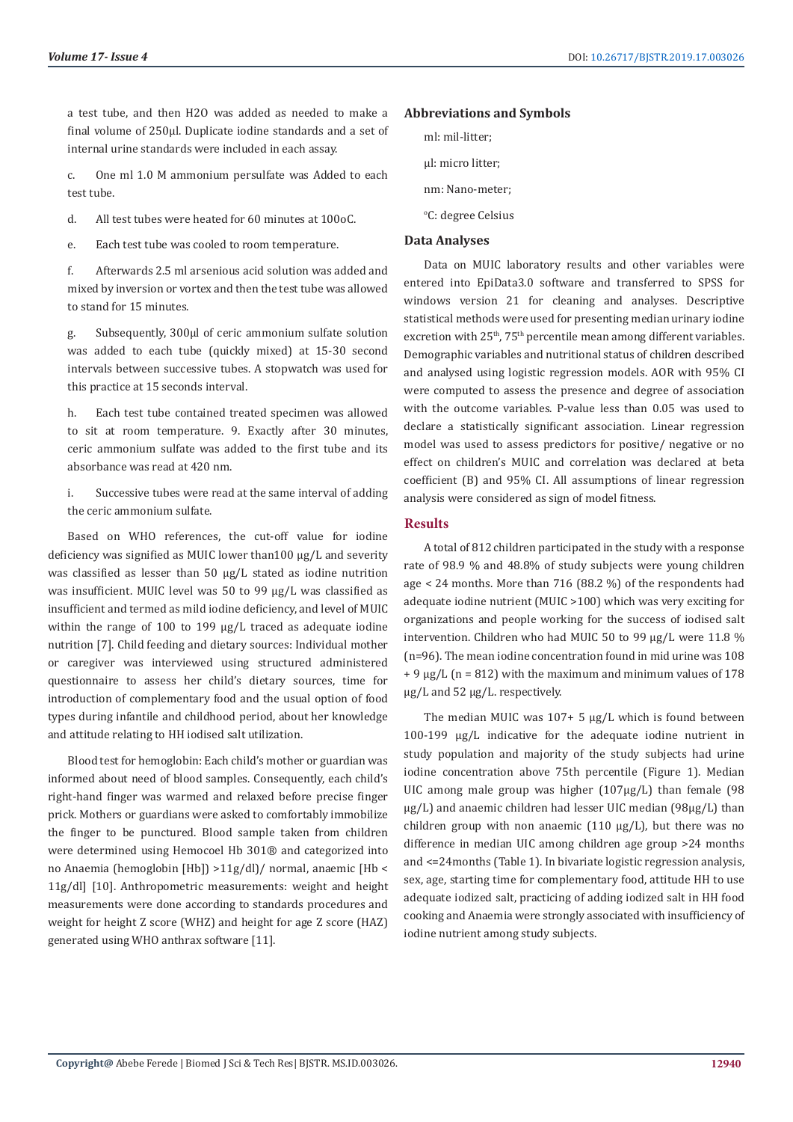a test tube, and then H2O was added as needed to make a final volume of 250μl. Duplicate iodine standards and a set of internal urine standards were included in each assay.

c. One ml 1.0 M ammonium persulfate was Added to each test tube.

d. All test tubes were heated for 60 minutes at 100oC.

e. Each test tube was cooled to room temperature.

f. Afterwards 2.5 ml arsenious acid solution was added and mixed by inversion or vortex and then the test tube was allowed to stand for 15 minutes.

g. Subsequently, 300μl of ceric ammonium sulfate solution was added to each tube (quickly mixed) at 15-30 second intervals between successive tubes. A stopwatch was used for this practice at 15 seconds interval.

h. Each test tube contained treated specimen was allowed to sit at room temperature. 9. Exactly after 30 minutes, ceric ammonium sulfate was added to the first tube and its absorbance was read at 420 nm.

i. Successive tubes were read at the same interval of adding the ceric ammonium sulfate.

Based on WHO references, the cut-off value for iodine deficiency was signified as MUIC lower than100 μg/L and severity was classified as lesser than 50 μg/L stated as iodine nutrition was insufficient. MUIC level was 50 to 99 μg/L was classified as insufficient and termed as mild iodine deficiency, and level of MUIC within the range of 100 to 199 μg/L traced as adequate iodine nutrition [7]. Child feeding and dietary sources: Individual mother or caregiver was interviewed using structured administered questionnaire to assess her child's dietary sources, time for introduction of complementary food and the usual option of food types during infantile and childhood period, about her knowledge and attitude relating to HH iodised salt utilization.

Blood test for hemoglobin: Each child's mother or guardian was informed about need of blood samples. Consequently, each child's right-hand finger was warmed and relaxed before precise finger prick. Mothers or guardians were asked to comfortably immobilize the finger to be punctured. Blood sample taken from children were determined using Hemocoel Hb 301® and categorized into no Anaemia (hemoglobin [Hb]) >11g/dl)/ normal, anaemic [Hb < 11g/dl] [10]. Anthropometric measurements: weight and height measurements were done according to standards procedures and weight for height Z score (WHZ) and height for age Z score (HAZ) generated using WHO anthrax software [11].

#### **Abbreviations and Symbols**

- ml: mil-litter; μl: micro litter; nm: Nano-meter;
- °C: degree Celsius

#### **Data Analyses**

Data on MUIC laboratory results and other variables were entered into EpiData3.0 software and transferred to SPSS for windows version 21 for cleaning and analyses. Descriptive statistical methods were used for presenting median urinary iodine excretion with 25<sup>th</sup>, 75<sup>th</sup> percentile mean among different variables. Demographic variables and nutritional status of children described and analysed using logistic regression models. AOR with 95% CI were computed to assess the presence and degree of association with the outcome variables. P-value less than 0.05 was used to declare a statistically significant association. Linear regression model was used to assess predictors for positive/ negative or no effect on children's MUIC and correlation was declared at beta coefficient (B) and 95% CI. All assumptions of linear regression analysis were considered as sign of model fitness.

#### **Results**

A total of 812 children participated in the study with a response rate of 98.9 % and 48.8% of study subjects were young children age < 24 months. More than 716 (88.2 %) of the respondents had adequate iodine nutrient (MUIC >100) which was very exciting for organizations and people working for the success of iodised salt intervention. Children who had MUIC 50 to 99 μg/L were 11.8 % (n=96). The mean iodine concentration found in mid urine was 108  $+9$  ug/L (n = 812) with the maximum and minimum values of 178 μg/L and 52 μg/L. respectively.

The median MUIC was 107+ 5 μg/L which is found between 100-199 μg/L indicative for the adequate iodine nutrient in study population and majority of the study subjects had urine iodine concentration above 75th percentile (Figure 1). Median UIC among male group was higher (107μg/L) than female (98 μg/L) and anaemic children had lesser UIC median (98μg/L) than children group with non anaemic (110 μg/L), but there was no difference in median UIC among children age group >24 months and <=24months (Table 1). In bivariate logistic regression analysis, sex, age, starting time for complementary food, attitude HH to use adequate iodized salt, practicing of adding iodized salt in HH food cooking and Anaemia were strongly associated with insufficiency of iodine nutrient among study subjects.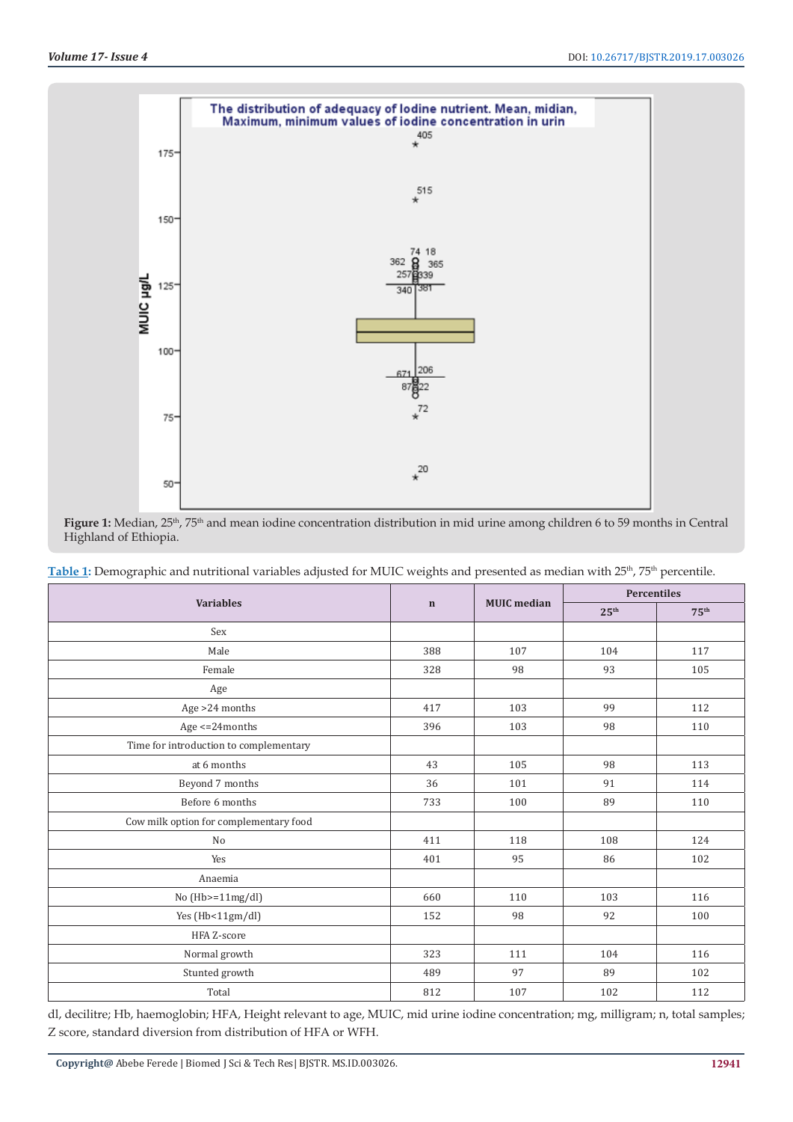

Figure 1: Median, 25<sup>th</sup>, 75<sup>th</sup> and mean iodine concentration distribution in mid urine among children 6 to 59 months in Central Highland of Ethiopia.

Table 1: Demographic and nutritional variables adjusted for MUIC weights and presented as median with 25<sup>th</sup>, 75<sup>th</sup> percentile.

|                                        | $\mathbf n$ | <b>MUIC</b> median | <b>Percentiles</b> |                  |
|----------------------------------------|-------------|--------------------|--------------------|------------------|
| <b>Variables</b>                       |             |                    | 25 <sup>th</sup>   | 75 <sup>th</sup> |
| Sex                                    |             |                    |                    |                  |
| Male                                   | 388         | 107                | 104                | 117              |
| Female                                 | 328         | 98                 | 93                 | 105              |
| Age                                    |             |                    |                    |                  |
| Age > 24 months                        | 417         | 103                | 99                 | 112              |
| Age $\leq$ 24 months                   | 396         | 103                | 98                 | 110              |
| Time for introduction to complementary |             |                    |                    |                  |
| at 6 months                            | 43          | 105                | 98                 | 113              |
| Beyond 7 months                        | 36          | 101                | 91                 | 114              |
| Before 6 months                        | 733         | 100                | 89                 | 110              |
| Cow milk option for complementary food |             |                    |                    |                  |
| No                                     | 411         | 118                | 108                | 124              |
| Yes                                    | 401         | 95                 | 86                 | 102              |
| Anaemia                                |             |                    |                    |                  |
| No $(Hb>=11mg/dl)$                     | 660         | 110                | 103                | 116              |
| Yes (Hb<11gm/dl)                       | 152         | 98                 | 92                 | 100              |
| HFA Z-score                            |             |                    |                    |                  |
| Normal growth                          | 323         | 111                | 104                | 116              |
| Stunted growth                         | 489         | 97                 | 89                 | 102              |
| Total                                  | 812         | 107                | 102                | 112              |

dl, decilitre; Hb, haemoglobin; HFA, Height relevant to age, MUIC, mid urine iodine concentration; mg, milligram; n, total samples; Z score, standard diversion from distribution of HFA or WFH.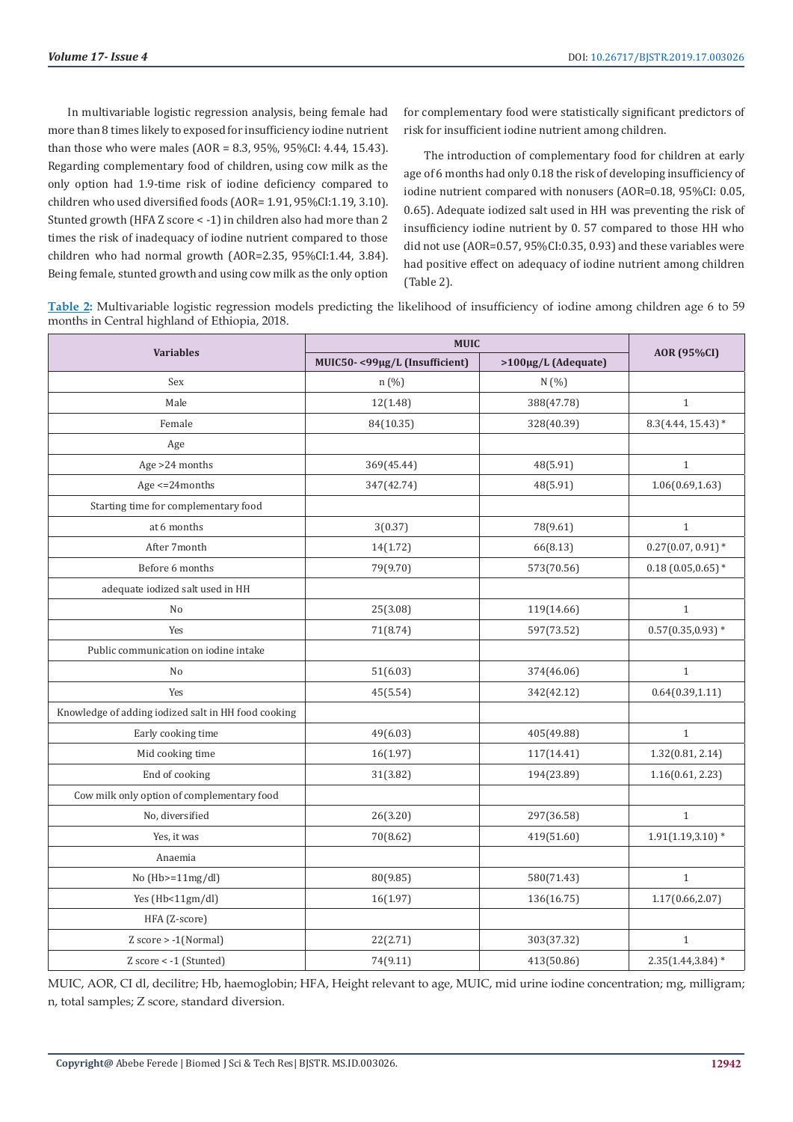In multivariable logistic regression analysis, being female had more than 8 times likely to exposed for insufficiency iodine nutrient than those who were males (AOR = 8.3, 95%, 95%CI: 4.44, 15.43). Regarding complementary food of children, using cow milk as the only option had 1.9-time risk of iodine deficiency compared to children who used diversified foods (AOR= 1.91, 95%CI:1.19, 3.10). Stunted growth (HFA Z score < -1) in children also had more than 2 times the risk of inadequacy of iodine nutrient compared to those children who had normal growth (AOR=2.35, 95%CI:1.44, 3.84). Being female, stunted growth and using cow milk as the only option

for complementary food were statistically significant predictors of risk for insufficient iodine nutrient among children.

The introduction of complementary food for children at early age of 6 months had only 0.18 the risk of developing insufficiency of iodine nutrient compared with nonusers (AOR=0.18, 95%CI: 0.05, 0.65). Adequate iodized salt used in HH was preventing the risk of insufficiency iodine nutrient by 0. 57 compared to those HH who did not use (AOR=0.57, 95%CI:0.35, 0.93) and these variables were had positive effect on adequacy of iodine nutrient among children (Table 2).

**Table 2:** Multivariable logistic regression models predicting the likelihood of insufficiency of iodine among children age 6 to 59 months in Central highland of Ethiopia, 2018.

|                                                     | <b>MUIC</b>                   |                     |                      |  |
|-----------------------------------------------------|-------------------------------|---------------------|----------------------|--|
| <b>Variables</b>                                    | MUIC50-<99µg/L (Insufficient) | >100µg/L (Adequate) | AOR (95%CI)          |  |
| Sex                                                 | n (%)                         | N(%)                |                      |  |
| Male                                                | 12(1.48)                      | 388(47.78)          | $\mathbf{1}$         |  |
| Female                                              | 84(10.35)                     | 328(40.39)          | $8.3(4.44, 15.43)$ * |  |
| Age                                                 |                               |                     |                      |  |
| Age >24 months                                      | 369(45.44)                    | 48(5.91)            | $\mathbf{1}$         |  |
| Age $\leq$ 24 months                                | 347(42.74)                    | 48(5.91)            | 1.06(0.69, 1.63)     |  |
| Starting time for complementary food                |                               |                     |                      |  |
| at 6 months                                         | 3(0.37)                       | 78(9.61)            | $\,1\,$              |  |
| After 7month                                        | 14(1.72)                      | 66(8.13)            | $0.27(0.07, 0.91)$ * |  |
| Before 6 months                                     | 79(9.70)                      | 573(70.56)          | $0.18(0.05, 0.65)*$  |  |
| adequate iodized salt used in HH                    |                               |                     |                      |  |
| N <sub>o</sub>                                      | 25(3.08)                      | 119(14.66)          | $\,1\,$              |  |
| Yes                                                 | 71(8.74)                      | 597(73.52)          | $0.57(0.35, 0.93)*$  |  |
| Public communication on iodine intake               |                               |                     |                      |  |
| No                                                  | 51(6.03)                      | 374(46.06)          | $\mathbf{1}$         |  |
| Yes                                                 | 45(5.54)                      | 342(42.12)          | 0.64(0.39, 1.11)     |  |
| Knowledge of adding iodized salt in HH food cooking |                               |                     |                      |  |
| Early cooking time                                  | 49(6.03)                      | 405(49.88)          | $\mathbf{1}$         |  |
| Mid cooking time                                    | 16(1.97)                      | 117(14.41)          | 1.32(0.81, 2.14)     |  |
| End of cooking                                      | 31(3.82)                      | 194(23.89)          | 1.16(0.61, 2.23)     |  |
| Cow milk only option of complementary food          |                               |                     |                      |  |
| No, diversified                                     | 26(3.20)                      | 297(36.58)          | $\mathbf{1}$         |  |
| Yes, it was                                         | 70(8.62)                      | 419(51.60)          | $1.91(1.19,3.10)*$   |  |
| Anaemia                                             |                               |                     |                      |  |
| No $(Hb>=11mg/dl)$                                  | 80(9.85)                      | 580(71.43)          | $\mathbf{1}$         |  |
| Yes (Hb<11gm/dl)                                    | 16(1.97)                      | 136(16.75)          | 1.17(0.66, 2.07)     |  |
| HFA (Z-score)                                       |                               |                     |                      |  |
| $Z$ score > $-1$ (Normal)                           | 22(2.71)                      | 303(37.32)          | $1\,$                |  |
| Z score < -1 (Stunted)                              | 74(9.11)                      | 413(50.86)          | $2.35(1.44, 3.84)$ * |  |

MUIC, AOR, CI dl, decilitre; Hb, haemoglobin; HFA, Height relevant to age, MUIC, mid urine iodine concentration; mg, milligram; n, total samples; Z score, standard diversion.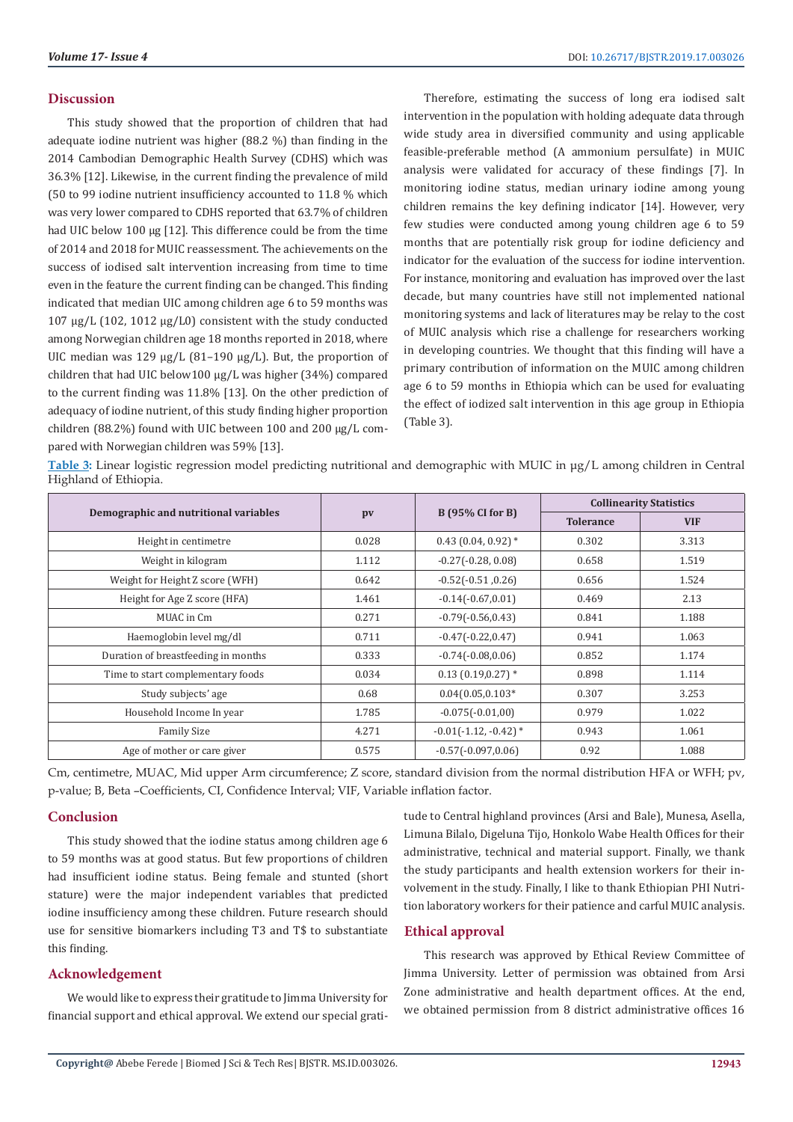#### **Discussion**

This study showed that the proportion of children that had adequate iodine nutrient was higher (88.2 %) than finding in the 2014 Cambodian Demographic Health Survey (CDHS) which was 36.3% [12]. Likewise, in the current finding the prevalence of mild (50 to 99 iodine nutrient insufficiency accounted to 11.8 % which was very lower compared to CDHS reported that 63.7% of children had UIC below 100 μg [12]. This difference could be from the time of 2014 and 2018 for MUIC reassessment. The achievements on the success of iodised salt intervention increasing from time to time even in the feature the current finding can be changed. This finding indicated that median UIC among children age 6 to 59 months was 107 μg/L (102, 1012 μg/L0) consistent with the study conducted among Norwegian children age 18 months reported in 2018, where UIC median was 129 μg/L (81–190 μg/L). But, the proportion of children that had UIC below100 μg/L was higher (34%) compared to the current finding was 11.8% [13]. On the other prediction of adequacy of iodine nutrient, of this study finding higher proportion children (88.2%) found with UIC between 100 and 200 μg/L compared with Norwegian children was 59% [13].

Therefore, estimating the success of long era iodised salt intervention in the population with holding adequate data through wide study area in diversified community and using applicable feasible-preferable method (A ammonium persulfate) in MUIC analysis were validated for accuracy of these findings [7]. In monitoring iodine status, median urinary iodine among young children remains the key defining indicator [14]. However, very few studies were conducted among young children age 6 to 59 months that are potentially risk group for iodine deficiency and indicator for the evaluation of the success for iodine intervention. For instance, monitoring and evaluation has improved over the last decade, but many countries have still not implemented national monitoring systems and lack of literatures may be relay to the cost of MUIC analysis which rise a challenge for researchers working in developing countries. We thought that this finding will have a primary contribution of information on the MUIC among children age 6 to 59 months in Ethiopia which can be used for evaluating the effect of iodized salt intervention in this age group in Ethiopia (Table 3).

**Table 3:** Linear logistic regression model predicting nutritional and demographic with MUIC in μg/L among children in Central Highland of Ethiopia.

|                                       |       |                         | <b>Collinearity Statistics</b> |            |
|---------------------------------------|-------|-------------------------|--------------------------------|------------|
| Demographic and nutritional variables | pv    | <b>B</b> (95% CI for B) | <b>Tolerance</b>               | <b>VIF</b> |
| Height in centimetre                  | 0.028 | $0.43$ (0.04, 0.92) $*$ | 0.302                          | 3.313      |
| Weight in kilogram                    | 1.112 | $-0.27(-0.28, 0.08)$    | 0.658                          | 1.519      |
| Weight for Height Z score (WFH)       | 0.642 | $-0.52(-0.51, 0.26)$    | 0.656                          | 1.524      |
| Height for Age Z score (HFA)          | 1.461 | $-0.14(-0.67, 0.01)$    | 0.469                          | 2.13       |
| MUAC in Cm                            | 0.271 | $-0.79(-0.56, 0.43)$    | 0.841                          | 1.188      |
| Haemoglobin level mg/dl               | 0.711 | $-0.47(-0.22, 0.47)$    | 0.941                          | 1.063      |
| Duration of breastfeeding in months   | 0.333 | $-0.74(-0.08, 0.06)$    | 0.852                          | 1.174      |
| Time to start complementary foods     | 0.034 | $0.13(0.19,0.27)$ *     | 0.898                          | 1.114      |
| Study subjects' age                   | 0.68  | $0.04(0.05, 0.103*)$    | 0.307                          | 3.253      |
| Household Income In year              | 1.785 | $-0.075(-0.01,00)$      | 0.979                          | 1.022      |
| <b>Family Size</b>                    | 4.271 | $-0.01(-1.12, -0.42)$ * | 0.943                          | 1.061      |
| Age of mother or care giver           | 0.575 | $-0.57(-0.097, 0.06)$   | 0.92                           | 1.088      |

Cm, centimetre, MUAC, Mid upper Arm circumference; Z score, standard division from the normal distribution HFA or WFH; pv, p-value; B, Beta –Coefficients, CI, Confidence Interval; VIF, Variable inflation factor.

# **Conclusion**

This study showed that the iodine status among children age 6 to 59 months was at good status. But few proportions of children had insufficient iodine status. Being female and stunted (short stature) were the major independent variables that predicted iodine insufficiency among these children. Future research should use for sensitive biomarkers including T3 and T\$ to substantiate this finding.

# **Acknowledgement**

We would like to express their gratitude to Jimma University for financial support and ethical approval. We extend our special gratitude to Central highland provinces (Arsi and Bale), Munesa, Asella, Limuna Bilalo, Digeluna Tijo, Honkolo Wabe Health Offices for their administrative, technical and material support. Finally, we thank the study participants and health extension workers for their involvement in the study. Finally, I like to thank Ethiopian PHI Nutrition laboratory workers for their patience and carful MUIC analysis.

# **Ethical approval**

This research was approved by Ethical Review Committee of Jimma University. Letter of permission was obtained from Arsi Zone administrative and health department offices. At the end, we obtained permission from 8 district administrative offices 16